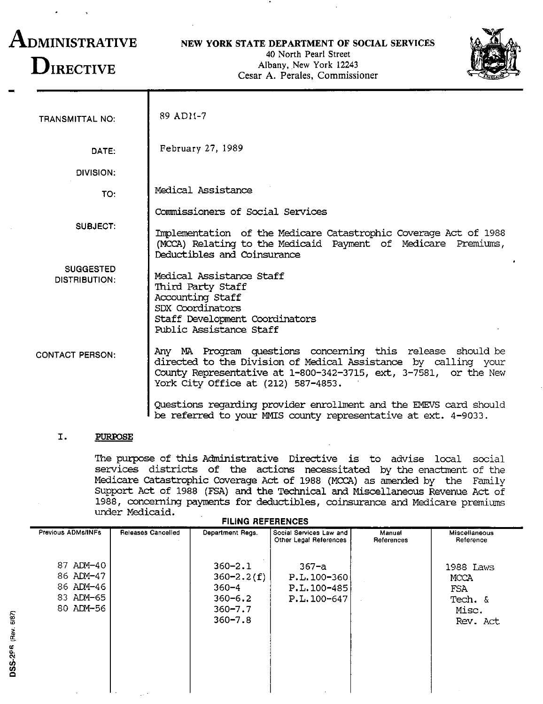# **ADMINISTRATIVE DIRECTIVE**

## **NEW YORK STATE DEPARTMENT OF SOCIAL SERVICES**

40 North Pearl Street Albany. New York 12243 Cesar A. Perales. Commissioner



| <b>TRANSMITTAL NO:</b>                   | 89 AD11-7                                                                                                                                                                                                                               |
|------------------------------------------|-----------------------------------------------------------------------------------------------------------------------------------------------------------------------------------------------------------------------------------------|
| DATE:                                    | February 27, 1989                                                                                                                                                                                                                       |
| DIVISION:                                |                                                                                                                                                                                                                                         |
| TO:                                      | Medical Assistance                                                                                                                                                                                                                      |
|                                          | Commissioners of Social Services                                                                                                                                                                                                        |
| SUBJECT:                                 | Implementation of the Medicare Catastrophic Coverage Act of 1988<br>(MCCA) Relating to the Medicaid Payment of Medicare Premiums,<br>Deductibles and Coinsurance                                                                        |
| <b>SUGGESTED</b><br><b>DISTRIBUTION:</b> | Medical Assistance Staff<br>Third Party Staff<br>Accounting Staff<br>SDX Coordinators<br>Staff Development Coordinators<br>Public Assistance Staff                                                                                      |
| <b>CONTACT PERSON:</b>                   | Any MA Program questions concerning this release should be<br>directed to the Division of Medical Assistance by calling your<br>County Representative at 1-800-342-3715, ext, 3-7581, or the New<br>York City Office at (212) 587-4853. |
|                                          | Questions regarding provider enrollment and the EMEVS card should<br>be referred to your MMIS county representative at ext. 4-9033.                                                                                                     |

# **I. PURroSE**

DSS-20-6 (Rev. 6/87)

The purpose of this Administrative Directive is to advise local social services districts of the actions necessitated by the enactment of the Medicare catastrophic Coverage Act of 1988 (MCCA) as amended by the Family Support Act of 1988 (FSA) and the Technical and Miscellaneous Revenue Act of 1988, concerning payments for deductibles, coinsurance and Medicare premiums under Medicaid.

| <b>FILING REFERENCES</b>                                      |                                                                                         |                                                          |                      |                                                          |  |  |
|---------------------------------------------------------------|-----------------------------------------------------------------------------------------|----------------------------------------------------------|----------------------|----------------------------------------------------------|--|--|
| Previous ADMs/INFs<br>Releases Cancelled                      | Department Regs.                                                                        | Social Services Law and<br>Other Legal References        | Manual<br>References | Miscellaneous<br>Reference                               |  |  |
| 87 ADM-40<br>86 ADM-47<br>86 ADM-46<br>83 ADM-65<br>80 ADM-56 | $360 - 2.1$<br>$360 - 2.2(f)$<br>$360 - 4$<br>$360 - 6.2$<br>$360 - 7.7$<br>$360 - 7.8$ | $367 - a$<br>$P.L.100-360$<br>P.L.100-485<br>P.L.100-647 |                      | 1988 Laws<br>MCCA<br>FSA<br>Tech. &<br>Misc.<br>Rev. Act |  |  |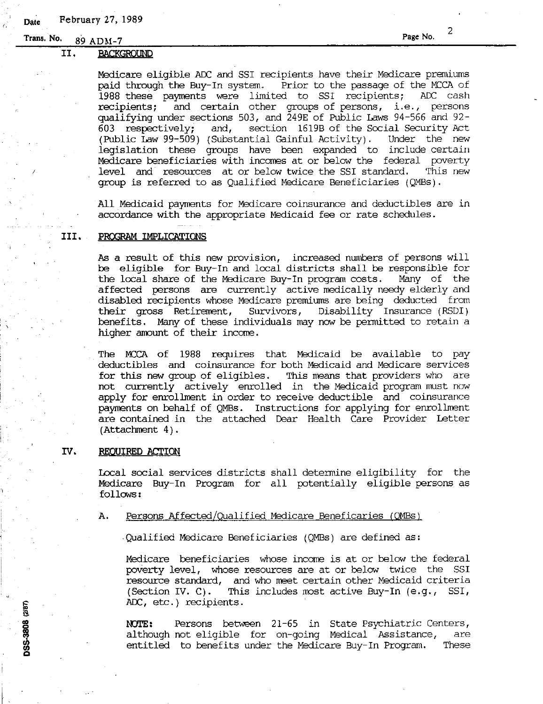## II. BACKGROUND

Medicare eligible ADC and SSI recipients have their Medicare premiums<br>paid through the Buy-In system. Prior to the passage of the MCCA of Prior to the passage of the MCCA of 1988 these payments were limited to SSI recipients; ADC cash recipients; and certain other groups of persons, i.e., persons qualifying under sections 503, and 249E of Public Laws 94-566 and 92- 603 respectively; and, section 1619B of the Social Security Act (Public Law 99-509) (Substantial Gainful Activity). Under the new legislation these groups have been expanded to include certain Medicare beneficiaries with incomes at or below the federal poverty<br>level and resources at or below twice the SSI standard. This new level and resources at or below twice the SSI standard. group is referred to as Qualified Medicare Beneficiaries (QMBS).

All Medicaid payments for Medicare coinsurance and deductibles are in accordance with the appropriate Medicaid fee or rate schedules.

#### **III.** PROGRAM IMPLICATIONS

As a result of this new provision, increased numbers of persons will be eligible for Buy-In and local districts shall be responsible for<br>the local share of the Medicare Buy-In program costs. Many of the the local share of the Medicare Buy-In program costs. affected persons are currently active medically needy elderly and disabled recipients whose Medicare premiums are being deducted from their gross Retirement, Survivors, Disability Insurance (RSDI) benefits. Many of these individuals may now be permitted to retain a higher amount of their income.

The MCCA of 1988 requires that Medicaid be available to pay deductibles and coinsurance for both Medicaid and Medicare services for this new group of eligibles. This means that providers who are not currently actively enrolled in the Medicaid program must now apply for enrollment in order to receive deductible and coinsurance payments on behalf of QMBs. Instructions for applying for enrollment are contained in the attached Dear Health Care Provider Letter  $(Attentionment 4)$ .

### IV. REQUIRED ACTION

DSS-3808 (2/87)

Local social services districts shall determine eligibility for the Medicare Buy-In Program for all potentially eligible persons as follows:

A. Persons Affected/Qualified Medicare Beneficaries (OMBs)

.Qualified Medicare Beneficiaries (QMBs) are defined as:

Medicare beneficiaries whose income is at or below the federal poverty level, whose resources are at or below twice the SSI resource standard, and who meet certain other Medicaid criteria (Section IV. C). This includes most active Buy-In (e.g., SSI, ADC, etc.) recipients.

NOTE: Persons between 21-65 in State Psychiatric Centers, although not eligible for on-going Medical Assistance, are entitled to benefits under the Medicare Buy-In Program. These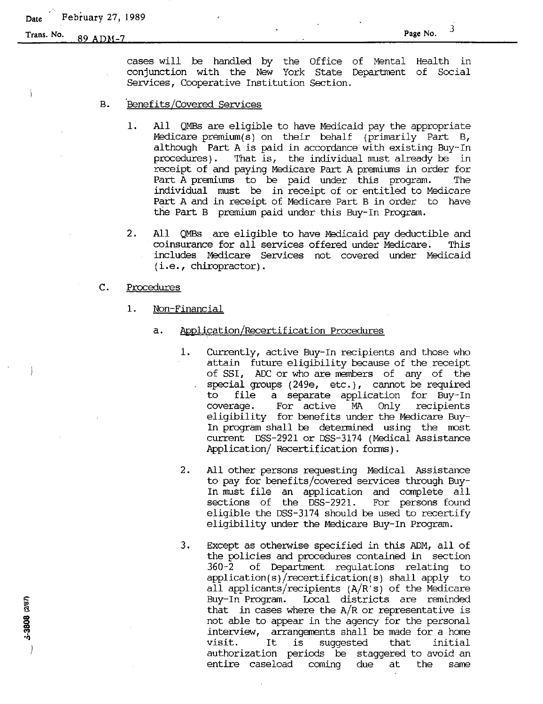**Trans.** No. 89 ADM-7 Page No. 3

cases will be handled by the Office of Mental Health in conjunction with the New York State Department of Social Services, Cooperative Institution Section.

- B. 'Benefits/Covered Services
	- 1. All QMBs are eligible to have Medicaid pay the appropriate Medicare premium(S) on their behalf (primarily Part B, although Part A is paid in accordance with existing Buy-In  $procedures)$ . That is, the individual must already be in receipt of and paying Medicare Part A premiums in order for Part A premiums to be paid under this program. The individual nmst be in receipt of or entitled to Medicare Part A and in receipt of Medicare Part B in order to have the Part B premium paid under this Buy-In Program.
	- 2. All QMBs are eligible to have Medicaid pay deductible and coinsurance for all services offered under Medicare. This includes Medicare Services not covered under Medicaid (i.e., chiropractor).

## C. Procedures

- 1. Non-Financial
	- a. Application/Recertification Procedures
		- 1. Currently, active Buy-In recipients and those who attain future eligibility because of the receipt of SSI, ADC or who are members of any of the special groups  $(249e, etc.),$  cannot be required<br>to file a separate application for Buy-In to file a separate application for Buy-In For active MA Only recipients eligibility for benefits under the Medicare Buy-In program shall be detennined using the most current DSS-2921 or DSS-3174 (Medical Assistance Application/ Recertification forms).
		- 2. All other persons requesting Medical Assistance to pay for benefits/covered services through Buy-In nmst file an application and complete all sections of the DSS-2921. For persons found eligible the DSS-3174 should be used to recertify eligibility under the Medicare Buy-In Program.
		- 3. Except as otherwise specified in this ADM, all of the policies and procedures contained in section 360-2 of Department regulations relating to application(s)/recertification(s) shall apply to all applicants/recipients (A/R's) of the Medicare Buy-In Program. Local districts are reminded that in cases where the  $A/R$  or representative is not able to appear in the agency for the personal interview, arrangements shall be made for a home visit. It is suggested that initial visit. It is suggested that initial<br>authorization periods be staggered to avoid an<br>entire caseload coming due at the same entire caseload coming due at the same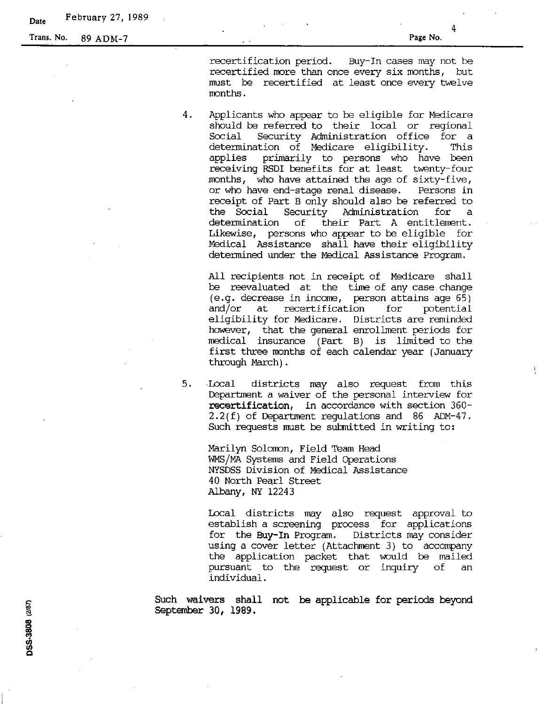4

recertification period. Buy-In cases may not be recertified more than once every six months, but must be recertified at least once every twelve months.

4. Applicants who appear to be eligible for Medicare should be referred to their local or regional<br>Social Security Administration office for a Security Administration office for a<br>Action of Medicare eligibility. This determination of Medicare eligibility. applies primarily to persons who have been receiving RSDI benefits for at least twenty-four months, who have attained the age of sixty-five, or who have end-stage renal disease. Persons in receipt of Part B only should also be referred to<br>the Social Security Administration for a the Social Security Administration for a determination of their Part A entitlement. of their Part A entitlement. Likewise, persons who appear to be eligible for Medical Assistance shall have their eligibility determined under the Medical Assistance Program.

All recipients not in receipt of Medicare shall be reevaluated at the time of any case change (e.g. decrease in income, person attains age 65)<br>and/or at recertification for potential recertification eligibility for Medicare. Districts are reminded however, that the general enrollment periods for meclical insurance (Part B) is limited to the first three months of each calendar year (January through March) .

5. Local districts may also request from this Department a waiver of the personal interview for recertification, in accordance with section 360- 2.2(f) of Department regulations and 86 ADM-47. Such requests must be submitted in writing to:

Marilyn Solomon, Field Team Head WMS/MA Systems and Field Operations NYSDSS Division of Medical Assistance 40 North Peqrl Street Albany, NY 12243

Local districts may also request approval to establish a screening process for applications for the Buy-In Program. Districts may consider using a cover letter (Attachment 3) to accompany the application packet that would be mailed pursuant to the request or inquiry of an individual.

Such waivers shall not be applicable for periods beyond september 30, 1989.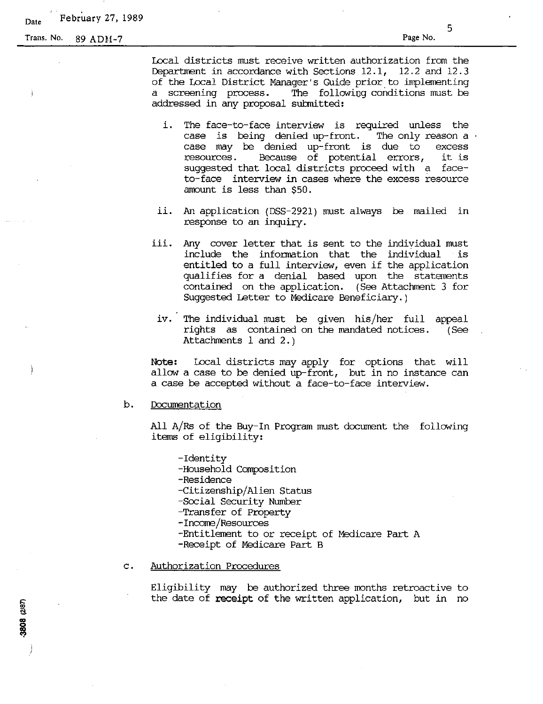# **Date** February 27, 1989

Trans. No. 89 ADH-7

3808 (2/87)

5

Local districts must receive written authorization from the Department in accordance with Sections  $12.1$ ,  $12.2$  and  $12.3$ of the Local District Manager's Guide prior to implementing The following conditions must be addressed in any proposal sutmitted:

- i. The face-to-face interview is required unless the case is being denied up-front. The only reason a case may be denied up-front is due to excess resources. Because of potential errors, it is suggested that local districts proceed with a faceto-face interview in cases where the excess resource amount is less than \$50.
- ii. An application (055-2921) must always be mailed in response to an inquiry.
- iii. Any cover letter that is sent to the individual must include the information that the individual is entitled to <sup>a</sup> full interview, even if the application qualifies for a denial based upon the statements contained on the application. (See Attachment 3 for Suggested Letter to Medicare Beneficiary.)
	- iv. The individual wust be given his/her full appeal rights as contained on the mandated notices. Attachments 1 and 2.) (See

Note: Local districts may apply for options that will allow a case to be denied up-front, but in no instance can a case be accepted without a face-to-face interview.

## b. Documentation

All A/Rs of the Buy-In Program must document the following items of eligibility:

-Identity

-Household Composition

-Residence

-Citizenship/Alien Status

-Social Security Number

- -Transfer of Property
- -Income/Resources
- -Entitlement to or receipt of Medicare Part A

-Receipt of Medicare Part B

## c. Authorization Procedures

Eligibility may be authorized three months retroactive to the date of receipt of the written application, but in no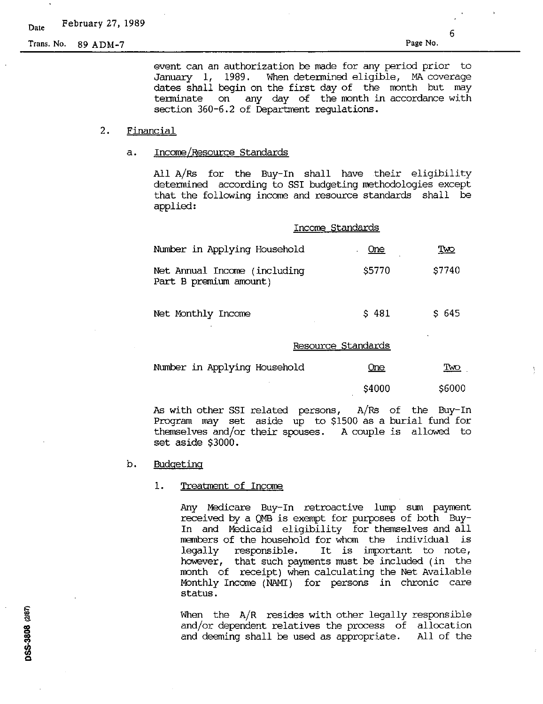Trans. No. 89 ADM-7 Page No.

6

event can an authorization be made for any period prior to When determined eligible, MA coverage dates shall begin on the first day of the month but may terminate on any day of the month in accordance with section 360-6.2 of Department regulations.

## 2. Financial

#### a. Income/Resource Standards

All A/Rs for the Buy-In shall have their eligibility detennined according to SSI budgeting methodologies except that the following income and resource standards shall be applied:

| Number in Applying Household                           | <b>One</b> | <u>Two</u>       |
|--------------------------------------------------------|------------|------------------|
| Net Annual Income (including<br>Part B premium amount) | \$5770     | \$7740           |
| Net Monthly Income                                     | \$481      | S <sub>645</sub> |

#### Resource Standards

Income Standards

| Number in Applying Household | <u>One</u> | <u>Ivo</u> |
|------------------------------|------------|------------|
|                              | \$4000     | \$6000     |

As with other SSI related persons, A/Rs of the Buy-In Program may set aside up to \$1500 as a burial fund for themselves and/or their spouses. A couple is allowed to set aside \$3000.

#### b. Budgeting

#### 1. Treatment of Income

Any Medicare Buy-In retroactive lump sum payment received by a QMB is exempt for purposes of both Buy-In and Medicaid eligibility for themselves and all members of the household for whom the individual is<br>legally responsible. It is important to note, It is important to note, however, that such payments must be included (in the month of receipt) when calculating the Net Available Monthly Income (NAMI) for persons in chronic care status.

When the A/R resides with other legally responsible and/or dependent relatives the process of allocation and deeming shall be used as appropriate. All of the

DSS-3808 (2/87)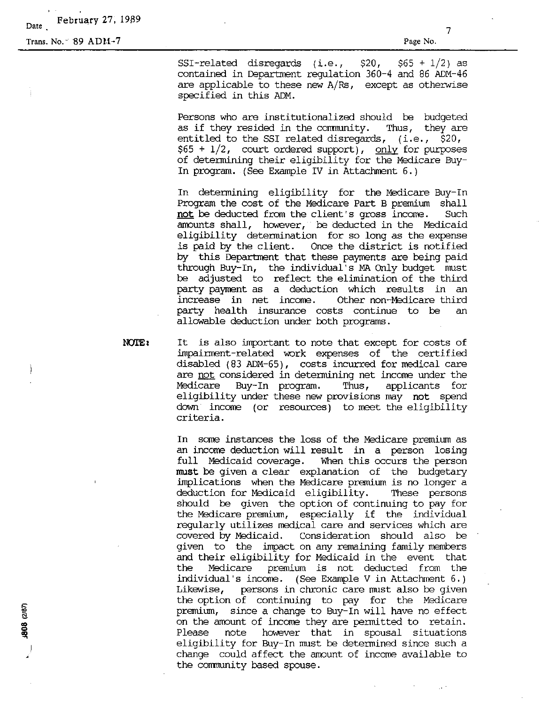**Date** February 27, 1989

Trans. No. - 89 ADM-7

(2808 (287)

Page No.

7

SSI-related disregards (i.e.,  $$20, $65 + 1/2$$  as contained in Department regulation 360-4 and 86 ADM-46 are applicable to these new  $A/Rs$ , except as otherwise specified in this ADM.

Persons who are institutionalized should be budgeted as if they resided in the community. Thus, they are entitled to the SSI related disregards,  $(i.e., $20,$  $$65 + 1/2$ , court ordered support), only for purposes of determining their eligibility for the Medicare Buy-In program. (See Example IV in Attachment 6.)

In determining eligibility for the Medicare Buy-In Program the cost of the Medicare Part B premium shall **not** be deducted from the client's gross income. Such amounts shall, however, be deducted in the Medicaid eligibility determination for so long as the expense<br>is paid by the client. Once the district is notified Once the district is notified. by this Department that these payments are being paid through Buy-In, the individual's MA Only budget must be adjusted to reflect the elimination of the third party payment as a deduction which results in an increase in net income. Other non-Medicare third party health insurance costs continue to be an allowable deduction under both programs.

NOTE: It is also important to note that except for costs of impairment-related work expenses of the certified disabled (83 ADM-65), costs incurred for medical care are not considered in detennining net income under the Medicare Buy-In program. Thus, applicants for eligibility under these new provisions may not spend down income (or resources) to meet the eligibility criteria.

> In some instances the loss of the Medicare premium as an income deduction will result in a person losing full Medicaid coverage. When this occurs the person **must** be given a clear explanation of the budgetary implications when the Medicare premium is no longer a deduction for Medicaid eligibility. These persons should be given the option of continuing to pay for the Medicare premium, especially if the individual regularly utilizes medical care and services which are covered by Medicaid. Consideration should also be given to the impact on any remaining family members and their eligibility for Medicaid in the event that the Medicare premium is not deducted from the individual's income. (See Example V in Attachment 6.) Likewise, persons in chronic care must also be given the option of continuing to pay for the Medicare premium, since a change to Buy-In will have no effect on the amount of income they are permitted to retain. Please note however that in spousal situations eligibility for Buy-In must be detennined since such a change could affect the amount of income available to the community based spouse.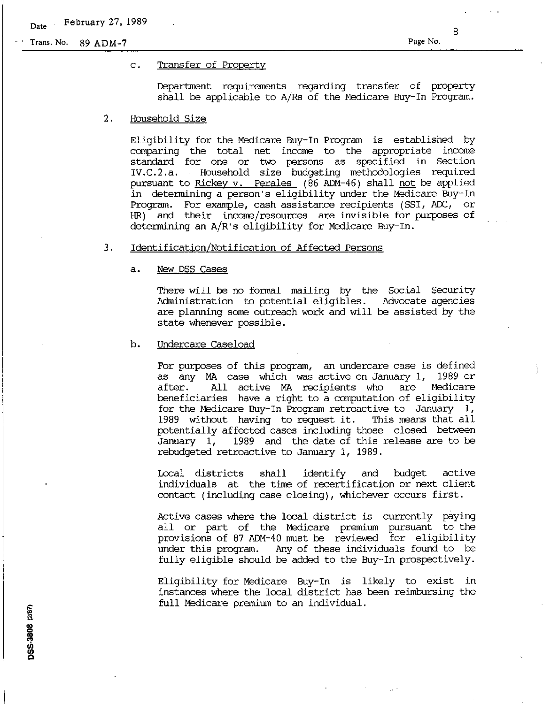**Page No.**

#### c. Transfer of Property

Department requirements regarding transfer of property shall be applicable to A/Rs of the Medicare Buy-In Program.

#### 2. Household Size

Eligibility for the Medicare Buy-In Program is established by canparing the total net income to the appropriate income standard for one or two persons as specified in Section IV.C.2.a. Household size budgeting methodologies required pursuant to <u>Rickey v. Perales</u> (86 ADM-46) shall <u>not</u> be applied in determining a person's eligibility under the Medicare Buy-In Program. For example, cash assistance recipients (551, ADC, or HR) and their income/resources are invisible for purposes of determining an A/R's eligibility for Medicare Buy-In.

## 3. Identification/Notification of Affected Persons

## a. New DSS Cases

There will be no formal mailing by the Social Security Administration to potential eligibles. Advocate agencies are planning some outreach work and will be assisted by the state whenever possible.

### b. Undercare Caseload

For purposes of this program, an undercare case is defined as any MA case which was active on January 1, 1989 or after. All active MA recipients who are beneficiaries have a right to a computation of eligibility for the Medicare Buy-In Program retroactive to January 1, <sup>1989</sup> without having to request it. This means that all potentially affected cases including those closed between January 1, 1989 and the date of this release are to be rebudgeted retroactive to January 1, 1989.

Local districts shall identify and budget active individuals at the time of recertification or next client contact (including case closing), whichever occurs first.

Active cases where the local district is currently paying all or part of the Medicare premium pursuant to the provisions of 87 ADM-40 must be reviewed for eligibility under this program. Any of these individuals found to be fully eligible should be added to the Buy-In prospectively.

Eligibility for Medicare Buy-In is likely to exist in instances where the local district has been reimbursing the full Medicare premium to an individual.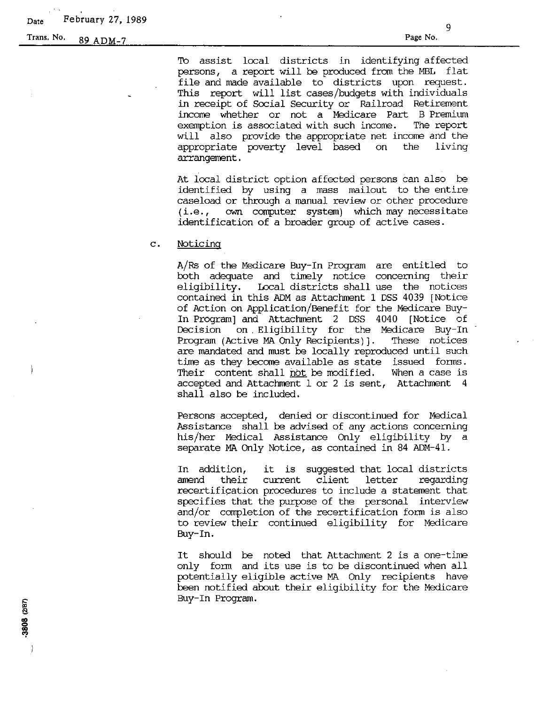TO assist local districts in identifying affected persons, a report will be produced from the MBL flat file and made available to districts upon request. This report will list cases/budgets with individuals in receipt of Social Security or Railroad Retirement income whether or not a Medicare Part B Premium exemption is associated with such income. The report will also provide the appropriate net income and the appropriate poverty level based on the arrangement.

At local district option affected persons can also be identified by using a mass mailout to the entire caseload or through a manual review or other procedure (i.e., own computer system) which may necessitate identification of a broader group of active cases.

#### c. Noticing

A/Rs of the Medicare Buy-In Program are entitled to both adequate and timely notice concerning their<br>eligibility. Local districts shall use the notices Local districts shall use the notices contained in this ADM as Attachment 1 DSS 4039 [Notice of Action on Application/Benefit for the Medicare Buy-In Program] and Attachment 2 DSS 4040 [Notice of Decision on. Eligibility for the Medicare Buy-In Program (Active MA Only Recipients)]. These notices are mandated and must be locally reproduced until such time as they become available as state issued forms. Their content shall not be modified. When a case is accepted and Attachment I or 2 is sent, Attachment 4 shall also be included.

Persons accepted, denied or discontinued for Medical Assistance shall be advised of any actions concerning his/her Medical Assistance Only eligibility by a separate MA Only Notice, as contained in 84 ADM-41.

In addition, it is suggested that local districts regarding recertification procedures to include a statement that specifies that the purpose of the personal interview and/or completion of the recertification form is also to review their continued eligibility for Medicare Buy-In.

It should be noted that Attachment <sup>2</sup> is <sup>a</sup> one-time only form and its use is to be discontinued when all potentially eligible active MA Only recipients have been notified about their eligibility for the Medicare Buy-In Program.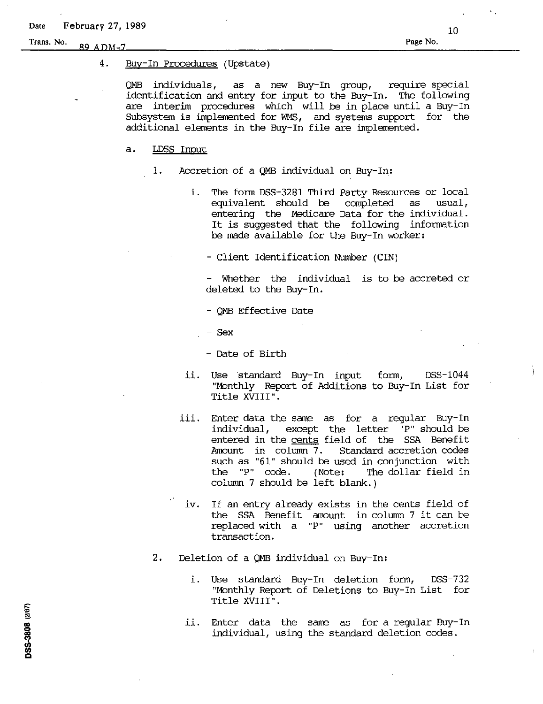# 4. Buy-In Procedures (Upstate)

QMB individuals, as a new Buy-In group, require special identification and entry for input to the Buy-In. The following are interim procedures which will be in place until a Buy-In Subsystem is implemented for WMS, and systems support for the additional elements in the Buy-In file are implemented.

# a. LOSS Input

- 1. Accretion of a QMB individual on Buy-In:
	- i. The form DSS-3281 Third Party Resources or local equivalent should be completed entering the Medicare Data for the individual. It is suggested that the following information be made available for the Buy-In worker:

- Client Identification Number (CIN)

- Whether the individual is to be accreted or deleted to the Buy-In.

- QMB Effective Date

- Sex

- Date of Birth

- ii. Use standard Buy-In input "Monthly Report of Additions to Buy-In List for Title XVIII". form, DSS-1044
- iii. Enter data the same as for <sup>a</sup> regular Buy-In except the letter "P" should be entered in the <u>cents</u> field of the SSA Benefit<br>Amount in column 7. Standard accretion codes Standard accretion codes such as "61" should be used in conjunction with<br>the "P" code. (Note: The dollar field in (Note: The dollar field in column 7 should be left blank.)
- iv. If an entry already exists in the cents field of the SSA Benefit amount in column 7 it can be replaced with a "P" using another accretion transaction.
- 2. Deletion of a QMB individual on Buy-In:
	- i. Use standard Buy-In deletion form, "Monthly Report of Deletions to Buy-In List forTitle XVIII".  $DSS-732$
	- Enter data the same as for a regular Buy-In individual, using the standard deletion codes. ii.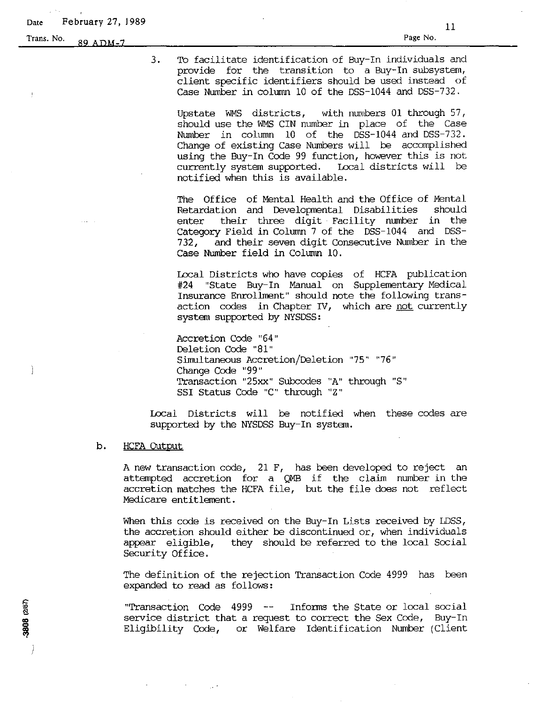**Trans.** No. 89 ADM-7 **Page** No. **Page No.** 

3. TO facilitate identification of Buy-In individuals and provide for the transition to a Buy-In subsystem, client specific identifiers should be used instead of Case Number in column 10 of the O5S-1044 and O5S-732.

Upstate WMS districts, with numbers 01 through 57, should use the WMS CIN number in place of the Case Number in column 10 of the DSS-1044 and DSS-732. Change of existing Case Numbers will be accomplished using the Buy-In Code 99 function, however this is not currently system supported. Local districts will be notified when this is available.

The Office of Mental Health and the Office of Mental Retardation and Developmental Disabilities should enter their three digit Facility number in the Category Field in Column 7 of the DSS-1044 and DSS-732, and their seven digit Consecutive Number in the Case Number field in Column 10.

Local Districts who have copies of HCFA publication #24 "State Buy-In Manual on Supplementary Medical Insurance Enrollment" should note the following transaction codes in Chapter IV, which are not currently system supported by NYSDSS:

Accretion Code "64" Deletion Code "81" Simultaneous Accretion/Deletion "75" "76" Change Code "99" Transaction "25xx" Subcodes "A" through "s" SSI Status Code "c" through "Z"

Local Districts will be notified when these codes are supported by the NYS05S Buy-In system.

#### b. HCFA Output

A new transaction code, 21 F, has been developed to reject an attempted accretion for <sup>a</sup> QMB if the claim number in the accretion matches the HCFA file, but the file does not reflect Medicare entitlement.

When this code is received on the Buy-In Lists received by LDSS, the accretion should either be discontinued or, when individuals appear eligible, they should be referred to the local Social Security Office.

The definition of the rejection Transaction Code 4999 has been expanded to read as follows:

"Transaction Code  $4999$  -- Informs the State or local social service district that a request to correct the Sex Code, Buy-In Eligibility Code, or Welfare Identification Number (Client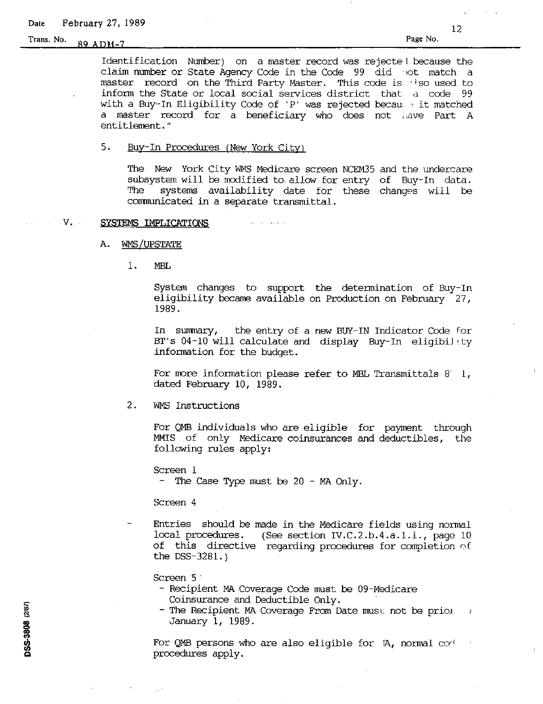Identification Number) on a master record was rejecte <sup>I</sup> because the claim number or State Agency Code in the Code 99 did ·,ot match a master record on the Third Party Master. This code is also used to inform the State or local social services district that <sup>d</sup> code 99 with a Buy-In Eligibility Code of 'P' was rejected becau , it matched a master record for a beneficiary who does not have Part A entitlement. "

#### 5. Buy-In Procedures (New York City)

The New York City WMS Medicare screen NCEM35 and the undercare subsystem will be modified to. allow for entry of Buy-In data. The systems availability date for these changes will be communicated in a separate transmittal.

#### V. SYSTEMS IMPLICATIONS

- A. WMS/UPSTATE
	- 1. MEL

System changes to support the determination of Buy-In eligibility became available on Production on February 27, 1989.

In sumnary, the entry of a new BUY-IN Indicator Code for BT's 04-10 will calculate and display Buy-In eligibiJity information for the budget.

For more information please refer to MBL Transmittals  $8^\circ\,1$ , dated February 10, 1989.

2. WMS Instructions

For QMB individuals who are eligible for payment through MMIS of only Medicare coinsurances and deductibles, the following rules apply:

Screen 1

- The Case Type must be 20 - MA Only.

Screen 4

Entries should be made in the Medicare fields using normal local procedures. (See section IV. C. 2.b. 4.a. 1.i., page 10 of this directive regarding procedures for completion of the DSS-3281. )

Screen 5·

- Recipient MA Coverage Code must be 09-Medicare Coinsurance and Deductible Only.
- The Recipient MA Coverage From Date must not be prior  $\rightarrow$ January 1, 1989.

For QMB persons who are also eligible for lA, normal *cor'* procedures apply.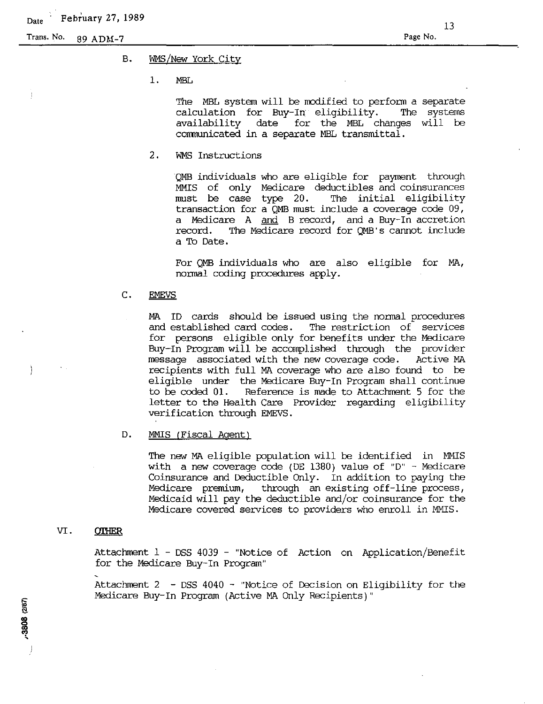Ì

# B. WMS/New York City

1. MEL

The MBL system will be modified to perform a separate calculation for Buy-In eligibility. The systems availability date for the MBL changes will be communicated in a separate MBL transmittal.

2. WMS Instructions

QMB individuals who are eligible for payment through MMIS of only Medicare deductibles and coinsurances<br>must be case type 20. The initial eligibility must be case type  $20$ . transaction for a QMB must include a coverage code 09, a Medicare A and B record, and a Buy-In accretion record. The Medicare record for QMB's cannot include a To Date.

For QMB individuals who are also eligible for MA, normal coding procedures apply.

## C. EMEVS

MA ID cards should be issued using the normal procedures<br>and established card codes. The restriction of services The restriction of services for persons eligible only for benefits under the Medicare Buy-In Program will be accomplished through the provider message associated with the new coverage code. Active MA recipients with full MA coverage who are also found to be eligible under the Medicare Buy-In Program shall continue<br>to be coded 01. Reference is made to Attachment 5 for the Reference is made to Attachment 5 for the letter to the Health Care Provider regarding eligibility verification through EMEVS.

## D. MMIS (Fiscal Agent)

The new MA eligible population will be identified in MMIS with a new coverage code (DE 1380) value of "D" - Medicare Coinsurance and Deductible Only. In addition to paying the Medicare premium, through an existing off-line process, Medicaid will pay the deductible and/or coinsurance for the Medicare covered services to providers who enroll in MMIS.

# VI. **QTHER**

Attachment 1 - DSS 4039 - "Notice of Action on Application/Benefit for the Medicare Buy-In Program"

Attachment 2 - DSS 4040 - "Notice of Decision on Eligibility for the Medicare Buy-In Program (Active MA Only Recipients)"